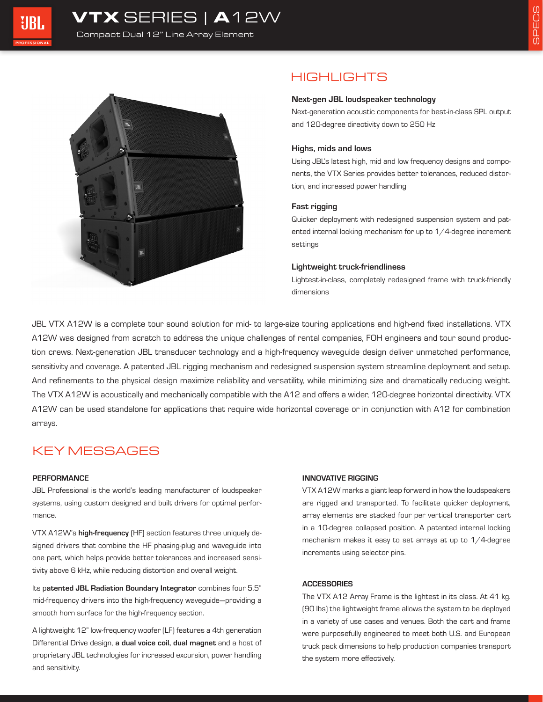



# HIGHLIGHTS

#### Next-gen JBL loudspeaker technology

Next-generation acoustic components for best-in-class SPL output and 120-degree directivity down to 250 Hz

### Highs, mids and lows

Using JBL's latest high, mid and low frequency designs and components, the VTX Series provides better tolerances, reduced distortion, and increased power handling

## Fast rigging

Quicker deployment with redesigned suspension system and patented internal locking mechanism for up to 1/4-degree increment settings

#### Lightweight truck-friendliness

Lightest-in-class, completely redesigned frame with truck-friendly dimensions

JBL VTX A12W is a complete tour sound solution for mid- to large-size touring applications and high-end fixed installations. VTX A12W was designed from scratch to address the unique challenges of rental companies, FOH engineers and tour sound production crews. Next-generation JBL transducer technology and a high-frequency waveguide design deliver unmatched performance, sensitivity and coverage. A patented JBL rigging mechanism and redesigned suspension system streamline deployment and setup. And refinements to the physical design maximize reliability and versatility, while minimizing size and dramatically reducing weight. The VTX A12W is acoustically and mechanically compatible with the A12 and offers a wider, 120-degree horizontal directivity. VTX A12W can be used standalone for applications that require wide horizontal coverage or in conjunction with A12 for combination arrays.

# KEY MESSAGES

#### **PERFORMANCE**

JBL Professional is the world's leading manufacturer of loudspeaker systems, using custom designed and built drivers for optimal performance.

VTX A12W's high-frequency (HF) section features three uniquely designed drivers that combine the HF phasing-plug and waveguide into one part, which helps provide better tolerances and increased sensitivity above 6 kHz, while reducing distortion and overall weight.

Its patented JBL Radiation Boundary Integrator combines four 5.5" mid-frequency drivers into the high-frequency waveguide—providing a smooth horn surface for the high-frequency section.

A lightweight 12" low-frequency woofer (LF) features a 4th generation Differential Drive design, a dual voice coil, dual magnet and a host of proprietary JBL technologies for increased excursion, power handling and sensitivity.

### INNOVATIVE RIGGING

VTX A12W marks a giant leap forward in how the loudspeakers are rigged and transported. To facilitate quicker deployment, array elements are stacked four per vertical transporter cart in a 10-degree collapsed position. A patented internal locking mechanism makes it easy to set arrays at up to 1/4-degree increments using selector pins.

### **ACCESSORIES**

The VTX A12 Array Frame is the lightest in its class. At 41 kg. (90 lbs) the lightweight frame allows the system to be deployed in a variety of use cases and venues. Both the cart and frame were purposefully engineered to meet both U.S. and European truck pack dimensions to help production companies transport the system more effectively.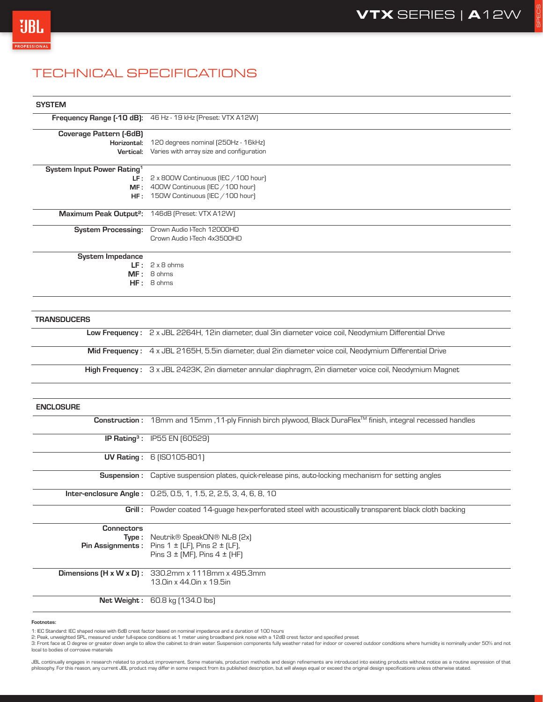SPECS



# TECHNICAL SPECIFICATIONS

### **SYSTEM**

|                                        | Frequency Range [-10 dB]: 46 Hz - 19 kHz (Preset: VTX A12W) |
|----------------------------------------|-------------------------------------------------------------|
| Coverage Pattern (-6dB)                |                                                             |
| Horizontal:                            | 120 degrees nominal (250Hz - 16kHz)                         |
| Vertical:                              | Varies with array size and configuration                    |
| System Input Power Rating <sup>1</sup> |                                                             |
| LF :                                   | 2 x 800W Continuous (IEC $/100$ hour)                       |
| MF:                                    | 400W Continuous (IEC / 100 hour)                            |
| HF:                                    | 150W Continuous (IEC / 100 hour)                            |
| Maximum Peak Output <sup>2</sup> :     | 146dB (Preset: VTX A12W)                                    |
| <b>System Processing:</b>              | Crown Audio I-Tech 12000HD                                  |
|                                        | Crown Audio I-Tech 4x3500HD                                 |
|                                        |                                                             |
| <b>System Impedance</b>                |                                                             |
|                                        | $LF: 2 \times 8$ ohms                                       |
| $P = P$                                | $\sim$ $\sim$ $\sim$                                        |

MF: 8 ohms HF: 8 ohms

#### **TRANSDUCERS**

Low Frequency: 2 x JBL 2264H, 12in diameter, dual 3in diameter voice coil, Neodymium Differential Drive Mid Frequency : 4 x JBL 2165H, 5.5in diameter, dual 2in diameter voice coil, Neodymium Differential Drive High Frequency : 3 x JBL 2423K, 2in diameter annular diaphragm, 2in diameter voice coil, Neodymium Magnet

| <b>ENCLOSURE</b>                     |                                                                                                                           |
|--------------------------------------|---------------------------------------------------------------------------------------------------------------------------|
|                                      | Construction: 18mm and 15mm , 11-ply Finnish birch plywood, Black DuraFlex <sup>™</sup> finish, integral recessed handles |
|                                      | <b>IP Rating<sup>3</sup>: IP55 EN (60529)</b>                                                                             |
|                                      | <b>UV Rating: 6 (ISO105-BO1)</b>                                                                                          |
|                                      | <b>Suspension:</b> Captive suspension plates, quick-release pins, auto-locking mechanism for setting angles               |
|                                      | <b>Inter-enclosure Angle:</b> 0.25, 0.5, 1, 1.5, 2, 2.5, 3, 4, 6, 8, 10                                                   |
|                                      | <b>Grill</b> : Powder coated 14-guage hex-perforated steel with acoustically transparent black cloth backing              |
| <b>Connectors</b>                    |                                                                                                                           |
|                                      | <b>Type:</b> Neutrik <sup>®</sup> SpeakON <sup>®</sup> NL-8 (2x)                                                          |
|                                      | <b>Pin Assignments:</b> Pins $1 \pm$ [LF], Pins $2 \pm$ [LF],                                                             |
|                                      | Pins $3 \pm$ [MF], Pins $4 \pm$ [HF]                                                                                      |
| Dimensions $(H \times W \times D)$ : | 330.2mm x 1118mm x 495.3mm                                                                                                |
|                                      | 13.0in x 44.0in x 19.5in                                                                                                  |
|                                      | <b>Net Weight:</b> $60.8$ kg $(134.0$ lbs)                                                                                |

#### Footnotes:

1: IEC Standard: IEC shaped noise with 6dB crest factor based on nominal impedance and a duration of 100 hours<br>2: Peak, unweighted SPL, measured under full-space conditions at 1 meter using broadband pink noise with a 12dB

3: Front face at 0 degree or greater down angle to allow the cabinet to drain water. Suspension components fully weather rated for indoor or covered outdoor conditions where humidity is nominally under 50% and not local to bodies of corrosive materials

JBL continually engages in research related to product improvement. Some materials, production methods and design refinements are introduced into existing products without notice as a routine expression of that philosophy. For this reason, any current JBL product may differ in some respect from its published description, but will always equal or exceed the original design specifications unless otherwise stated.